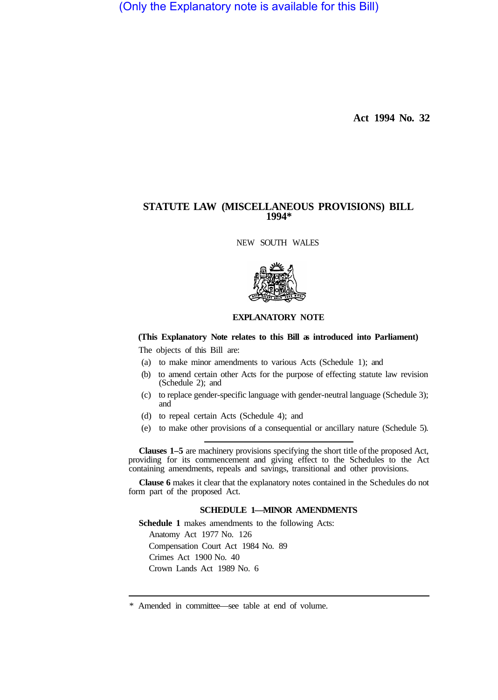(Only the Explanatory note is available for this Bill)

**Act 1994 No. 32** 

# **STATUTE LAW (MISCELLANEOUS PROVISIONS) BILL 1994\***

NEW SOUTH WALES



### **EXPLANATORY NOTE**

# **(This Explanatory Note relates to this Bill as introduced into Parliament)**

The objects of this Bill are:

- (a) to make minor amendments to various Acts (Schedule 1); and
- (b) to amend certain other Acts for the purpose of effecting statute law revision (Schedule 2); and
- (c) to replace gender-specific language with gender-neutral language (Schedule 3); and
- (d) to repeal certain Acts (Schedule 4); and
- (e) to make other provisions of a consequential or ancillary nature (Schedule 5).

**Clauses 1–5** are machinery provisions specifying the short title of the proposed Act, providing for its commencement and giving effect to the Schedules to the Act containing amendments, repeals and savings, transitional and other provisions.

**Clause 6** makes it clear that the explanatory notes contained in the Schedules do not form part of the proposed Act.

# **SCHEDULE 1—MINOR AMENDMENTS**

**Schedule 1** makes amendments to the following Acts: Anatomy Act 1977 No. 126 Compensation Court Act 1984 No. 89 Crimes Act 1900 No. 40 Crown Lands Act 1989 No. 6

<sup>\*</sup> Amended in committee—see table at end of volume.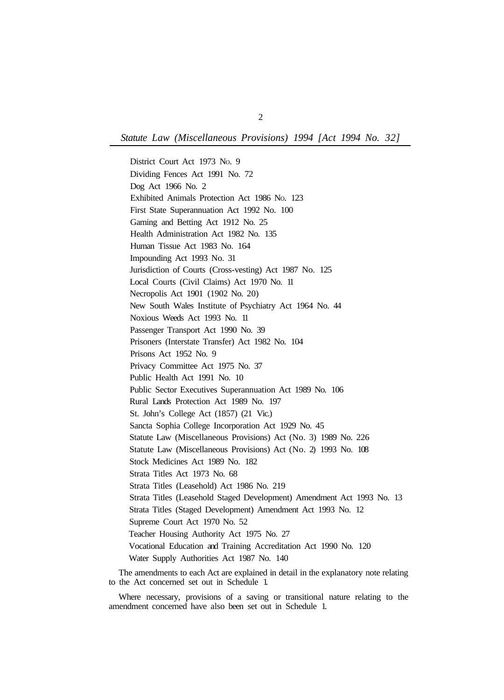*Statute Law (Miscellaneous Provisions) 1994 [Act 1994 No. 32]* 

District Court Act 1973 No. 9 Dividing Fences Act 1991 No. 72 Dog Act 1966 No. 2 Exhibited Animals Protection Act 1986 NO. 123 First State Superannuation Act 1992 No. 100 Gaming and Betting Act 1912 No. 25 Health Administration Act 1982 No. 135 Human Tissue Act 1983 No. 164 Impounding Act 1993 No. 31 Jurisdiction of Courts (Cross-vesting) Act 1987 No. 125 Local Courts (Civil Claims) Act 1970 No. 11 Necropolis Act 1901 (1902 No. 20) New South Wales Institute of Psychiatry Act 1964 No. 44 Noxious Weeds Act 1993 No. 11 Passenger Transport Act 1990 No. 39 Prisoners (Interstate Transfer) Act 1982 No. 104 Prisons Act 1952 No. 9 Privacy Committee Act 1975 No. 37 Public Health Act 1991 No. 10 Public Sector Executives Superannuation Act 1989 No. 106 Rural Lands Protection Act 1989 No. 197 St. John's College Act (1857) (21 Vic.) Sancta Sophia College Incorporation Act 1929 No. 45 Statute Law (Miscellaneous Provisions) Act (No. 3) 1989 No. 226 Statute Law (Miscellaneous Provisions) Act (No. 2) 1993 No. 108 Stock Medicines Act 1989 No. 182 Strata Titles Act 1973 No. 68 Strata Titles (Leasehold) Act 1986 No. 219 Strata Titles (Leasehold Staged Development) Amendment Act 1993 No. 13 Strata Titles (Staged Development) Amendment Act 1993 No. 12 Supreme Court Act 1970 No. 52 Teacher Housing Authority Act 1975 No. 27 Vocational Education and Training Accreditation Act 1990 No. 120 Water Supply Authorities Act 1987 No. 140

The amendments to each Act are explained in detail in the explanatory note relating to the Act concerned set out in Schedule 1.

Where necessary, provisions of a saving or transitional nature relating to the amendment concerned have also been set out in Schedule 1.

2